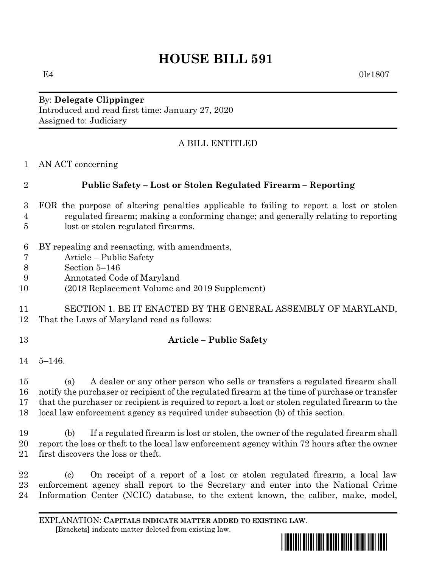# **HOUSE BILL 591**

 $E4$  0lr1807

By: **Delegate Clippinger** Introduced and read first time: January 27, 2020 Assigned to: Judiciary

# A BILL ENTITLED

AN ACT concerning

# **Public Safety – Lost or Stolen Regulated Firearm – Reporting**

- FOR the purpose of altering penalties applicable to failing to report a lost or stolen regulated firearm; making a conforming change; and generally relating to reporting lost or stolen regulated firearms.
- BY repealing and reenacting, with amendments,
- Article Public Safety
- Section 5–146
- Annotated Code of Maryland
- (2018 Replacement Volume and 2019 Supplement)
- SECTION 1. BE IT ENACTED BY THE GENERAL ASSEMBLY OF MARYLAND, That the Laws of Maryland read as follows:
- 

### **Article – Public Safety**

5–146.

 (a) A dealer or any other person who sells or transfers a regulated firearm shall notify the purchaser or recipient of the regulated firearm at the time of purchase or transfer that the purchaser or recipient is required to report a lost or stolen regulated firearm to the local law enforcement agency as required under subsection (b) of this section.

 (b) If a regulated firearm is lost or stolen, the owner of the regulated firearm shall report the loss or theft to the local law enforcement agency within 72 hours after the owner first discovers the loss or theft.

 (c) On receipt of a report of a lost or stolen regulated firearm, a local law enforcement agency shall report to the Secretary and enter into the National Crime Information Center (NCIC) database, to the extent known, the caliber, make, model,

EXPLANATION: **CAPITALS INDICATE MATTER ADDED TO EXISTING LAW**.  **[**Brackets**]** indicate matter deleted from existing law.